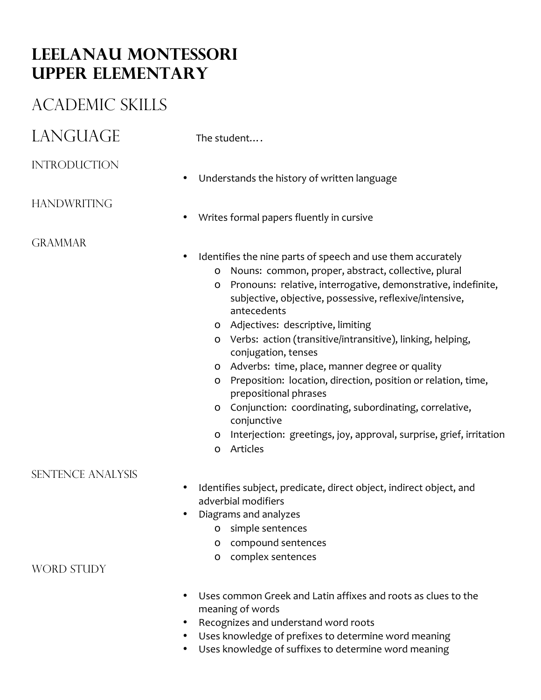# **Leelanau Montessori Upper elementary**

## Academic skills

## $LANGUAGE$  The student...

### **INTRODUCTION**

• Understands the history of written language

### **HANDWRITING**

**GRAMMAR** 

- Writes formal papers fluently in cursive
- Identifies the nine parts of speech and use them accurately
	- o Nouns: common, proper, abstract, collective, plural
	- o Pronouns: relative, interrogative, demonstrative, indefinite, subjective, objective, possessive, reflexive/intensive, antecedents
	- o Adjectives: descriptive, limiting
	- o Verbs: action (transitive/intransitive), linking, helping, conjugation, tenses
	- o Adverbs: time, place, manner degree or quality
	- o Preposition: location, direction, position or relation, time, prepositional phrases
	- o Conjunction: coordinating, subordinating, correlative, conjunctive
	- o Interjection: greetings, joy, approval, surprise, grief, irritation
	- o Articles

#### Sentence Analysis

- Identifies subject, predicate, direct object, indirect object, and adverbial modifiers
- Diagrams and analyzes
	- o simple sentences
	- o compound sentences
	- o complex sentences

WORD STUDY

- Uses common Greek and Latin affixes and roots as clues to the meaning of words
- Recognizes and understand word roots
- Uses knowledge of prefixes to determine word meaning
- Uses knowledge of suffixes to determine word meaning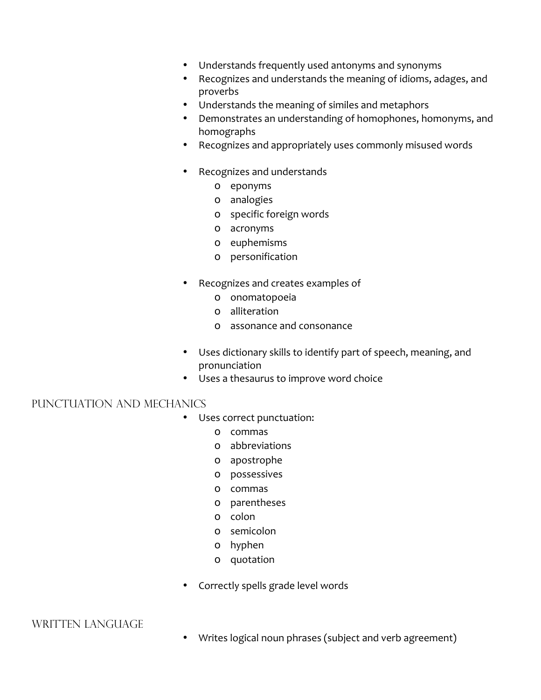- Understands frequently used antonyms and synonyms
- Recognizes and understands the meaning of idioms, adages, and proverbs
- Understands the meaning of similes and metaphors
- Demonstrates an understanding of homophones, homonyms, and homographs
- Recognizes and appropriately uses commonly misused words
- Recognizes and understands
	- o eponyms
	- o analogies
	- o specific foreign words
	- o acronyms
	- o euphemisms
	- o personification
- Recognizes and creates examples of
	- o onomatopoeia
	- o alliteration
	- o assonance and consonance
- Uses dictionary skills to identify part of speech, meaning, and pronunciation
- Uses a thesaurus to improve word choice

#### Punctuation and Mechanics

- Uses correct punctuation:
	- o commas
	- o abbreviations
	- o apostrophe
	- o possessives
	- o commas
	- o parentheses
	- o colon
	- o semicolon
	- o hyphen
	- o quotation
- Correctly spells grade level words

WRITTEN LANGUAGE

• Writes logical noun phrases (subject and verb agreement)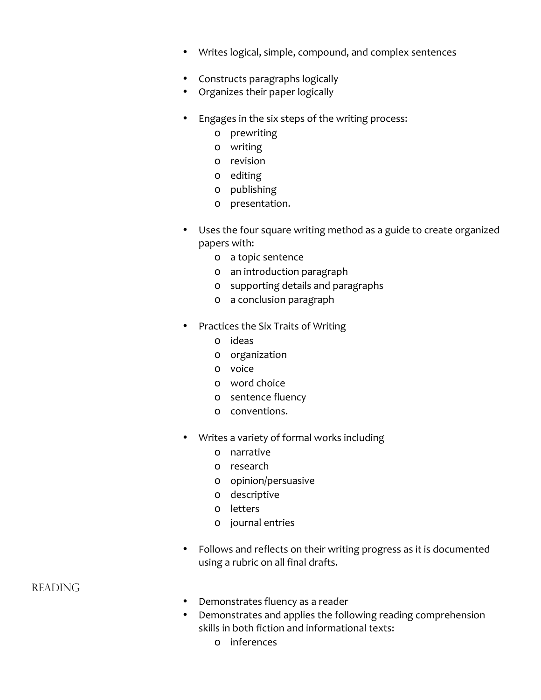- Writes logical, simple, compound, and complex sentences
- Constructs paragraphs logically
- Organizes their paper logically
- Engages in the six steps of the writing process:
	- o prewriting
	- o writing
	- o revision
	- o editing
	- o publishing
	- o presentation.
- Uses the four square writing method as a guide to create organized papers with:
	- o a topic sentence
	- o an introduction paragraph
	- o supporting details and paragraphs
	- o a conclusion paragraph
- Practices the Six Traits of Writing
	- o ideas
	- o organization
	- o voice
	- o word choice
	- o sentence fluency
	- o conventions.
- Writes a variety of formal works including
	- o narrative
	- o research
	- o opinion/persuasive
	- o descriptive
	- o letters
	- o journal entries
- Follows and reflects on their writing progress as it is documented using a rubric on all final drafts.

#### **READING**

- Demonstrates fluency as a reader
- Demonstrates and applies the following reading comprehension skills in both fiction and informational texts:
	- o inferences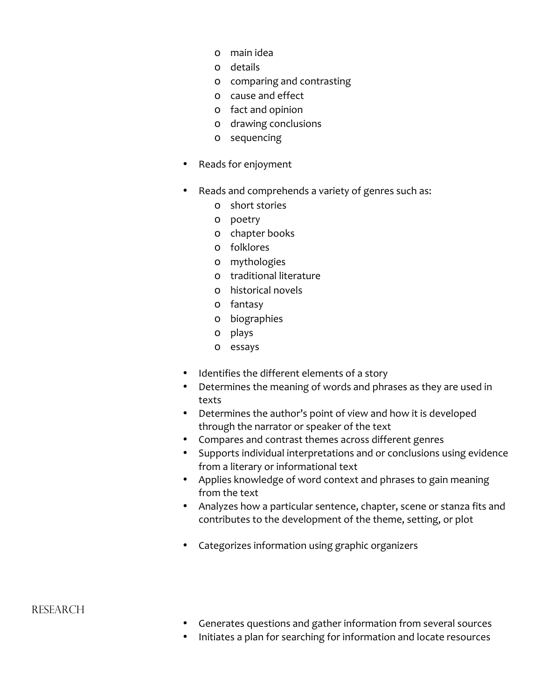- o main idea
- o details
- o comparing and contrasting
- o cause and effect
- o fact and opinion
- o drawing conclusions
- o sequencing
- Reads for enjoyment
- Reads and comprehends a variety of genres such as:
	- o short stories
	- o poetry
	- o chapter books
	- o folklores
	- o mythologies
	- o traditional literature
	- o historical novels
	- o fantasy
	- o biographies
	- o plays
	- o essays
- Identifies the different elements of a story
- Determines the meaning of words and phrases as they are used in texts
- Determines the author's point of view and how it is developed through the narrator or speaker of the text
- Compares and contrast themes across different genres
- Supports individual interpretations and or conclusions using evidence from a literary or informational text
- Applies knowledge of word context and phrases to gain meaning from the text
- Analyzes how a particular sentence, chapter, scene or stanza fits and contributes to the development of the theme, setting, or plot
- Categorizes information using graphic organizers

#### **RESEARCH**

- Generates questions and gather information from several sources
- Initiates a plan for searching for information and locate resources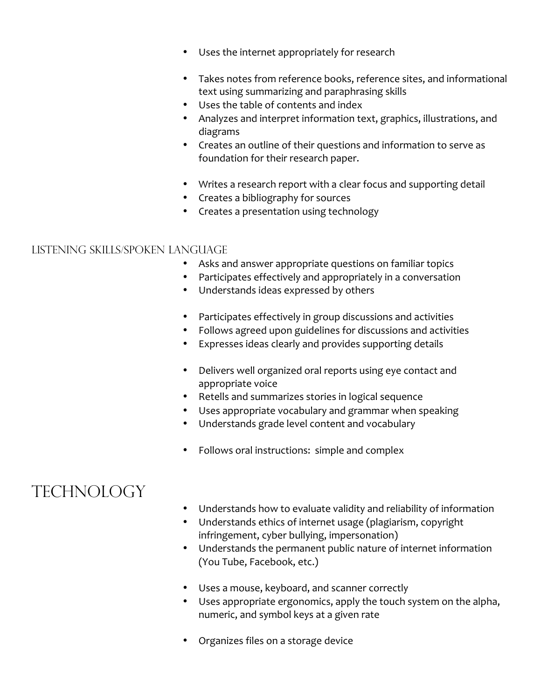- Uses the internet appropriately for research
- Takes notes from reference books, reference sites, and informational text using summarizing and paraphrasing skills
- Uses the table of contents and index
- Analyzes and interpret information text, graphics, illustrations, and diagrams
- Creates an outline of their questions and information to serve as foundation for their research paper.
- Writes a research report with a clear focus and supporting detail
- Creates a bibliography for sources
- Creates a presentation using technology

#### Listening Skills/Spoken Language

- Asks and answer appropriate questions on familiar topics
- Participates effectively and appropriately in a conversation
- Understands ideas expressed by others
- Participates effectively in group discussions and activities
- Follows agreed upon guidelines for discussions and activities
- Expresses ideas clearly and provides supporting details
- Delivers well organized oral reports using eye contact and appropriate voice
- Retells and summarizes stories in logical sequence<br>• Lises annropriate vocabulary and grammar when se
- Uses appropriate vocabulary and grammar when speaking
- Understands grade level content and vocabulary
- Follows oral instructions: simple and complex

## **TECHNOLOGY**

- Understands how to evaluate validity and reliability of information
- Understands ethics of internet usage (plagiarism, copyright infringement, cyber bullying, impersonation)
- Understands the permanent public nature of internet information (You Tube, Facebook, etc.)
- Uses a mouse, keyboard, and scanner correctly
- Uses appropriate ergonomics, apply the touch system on the alpha, numeric, and symbol keys at a given rate
- Organizes files on a storage device